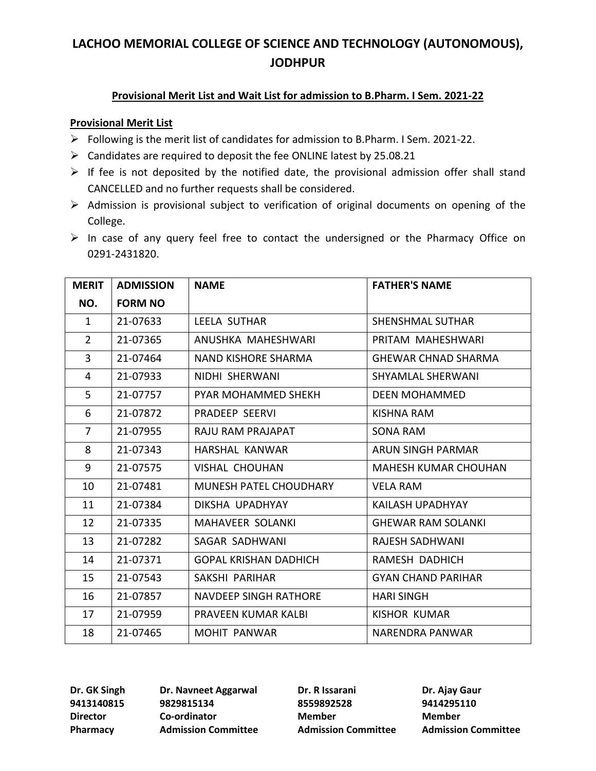### **Provisional Merit List and Wait List for admission to B.Pharm. I Sem. 2021-22**

#### **Provisional Merit List**

- ➢ Following is the merit list of candidates for admission to B.Pharm. I Sem. 2021-22.
- $\triangleright$  Candidates are required to deposit the fee ONLINE latest by 25.08.21
- $\triangleright$  If fee is not deposited by the notified date, the provisional admission offer shall stand CANCELLED and no further requests shall be considered.
- ➢ Admission is provisional subject to verification of original documents on opening of the College.
- ➢ In case of any query feel free to contact the undersigned or the Pharmacy Office on 0291-2431820.

| <b>MERIT</b>   | <b>ADMISSION</b> | <b>NAME</b>                   | <b>FATHER'S NAME</b>        |
|----------------|------------------|-------------------------------|-----------------------------|
| NO.            | <b>FORM NO</b>   |                               |                             |
| $\mathbf{1}$   | 21-07633         | LEELA SUTHAR                  | <b>SHENSHMAL SUTHAR</b>     |
| $\overline{2}$ | 21-07365         | ANUSHKA MAHESHWARI            | PRITAM MAHESHWARI           |
| $\overline{3}$ | 21-07464         | <b>NAND KISHORE SHARMA</b>    | <b>GHEWAR CHNAD SHARMA</b>  |
| 4              | 21-07933         | NIDHI SHERWANI                | SHYAMLAL SHERWANI           |
| 5              | 21-07757         | <b>PYAR MOHAMMED SHEKH</b>    | DEEN MOHAMMED               |
| 6              | 21-07872         | PRADEEP SEERVI                | KISHNA RAM                  |
| $\overline{7}$ | 21-07955         | RAJU RAM PRAJAPAT             | SONA RAM                    |
| 8              | 21-07343         | HARSHAL KANWAR                | <b>ARUN SINGH PARMAR</b>    |
| 9              | 21-07575         | <b>VISHAL CHOUHAN</b>         | <b>MAHESH KUMAR CHOUHAN</b> |
| 10             | 21-07481         | <b>MUNESH PATEL CHOUDHARY</b> | <b>VELA RAM</b>             |
| 11             | 21-07384         | DIKSHA UPADHYAY               | KAILASH UPADHYAY            |
| 12             | 21-07335         | <b>MAHAVEER SOLANKI</b>       | <b>GHEWAR RAM SOLANKI</b>   |
| 13             | 21-07282         | SAGAR SADHWANI                | RAJESH SADHWANI             |
| 14             | 21-07371         | <b>GOPAL KRISHAN DADHICH</b>  | RAMESH DADHICH              |
| 15             | 21-07543         | SAKSHI PARIHAR                | <b>GYAN CHAND PARIHAR</b>   |
| 16             | 21-07857         | <b>NAVDEEP SINGH RATHORE</b>  | <b>HARI SINGH</b>           |
| 17             | 21-07959         | PRAVEEN KUMAR KALBI           | KISHOR KUMAR                |
| 18             | 21-07465         | MOHIT PANWAR                  | NARENDRA PANWAR             |

**9413140815 9829815134 8559892528 9414295110 Director Co-ordinator Member Member**

**Dr. GK Singh Dr. Navneet Aggarwal Dr. R Issarani Dr. Ajay Gaur**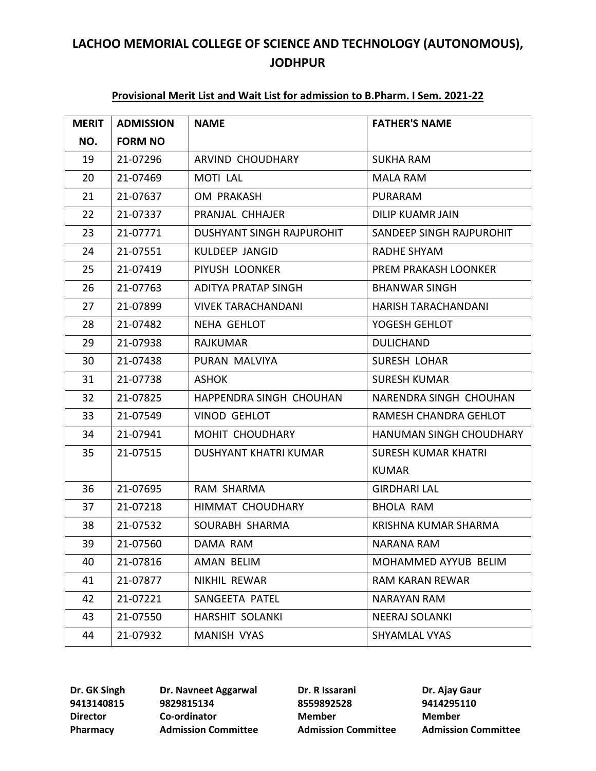| <b>MERIT</b> | <b>ADMISSION</b> | <b>NAME</b>               | <b>FATHER'S NAME</b>       |
|--------------|------------------|---------------------------|----------------------------|
| NO.          | <b>FORM NO</b>   |                           |                            |
| 19           | 21-07296         | ARVIND CHOUDHARY          | <b>SUKHA RAM</b>           |
| 20           | 21-07469         | <b>MOTI LAL</b>           | <b>MALA RAM</b>            |
| 21           | 21-07637         | OM PRAKASH                | <b>PURARAM</b>             |
| 22           | 21-07337         | PRANJAL CHHAJER           | <b>DILIP KUAMR JAIN</b>    |
| 23           | 21-07771         | DUSHYANT SINGH RAJPUROHIT | SANDEEP SINGH RAJPUROHIT   |
| 24           | 21-07551         | KULDEEP JANGID            | RADHE SHYAM                |
| 25           | 21-07419         | PIYUSH LOONKER            | PREM PRAKASH LOONKER       |
| 26           | 21-07763         | ADITYA PRATAP SINGH       | <b>BHANWAR SINGH</b>       |
| 27           | 21-07899         | <b>VIVEK TARACHANDANI</b> | HARISH TARACHANDANI        |
| 28           | 21-07482         | NEHA GEHLOT               | YOGESH GEHLOT              |
| 29           | 21-07938         | <b>RAJKUMAR</b>           | <b>DULICHAND</b>           |
| 30           | 21-07438         | PURAN MALVIYA             | <b>SURESH LOHAR</b>        |
| 31           | 21-07738         | <b>ASHOK</b>              | <b>SURESH KUMAR</b>        |
| 32           | 21-07825         | HAPPENDRA SINGH CHOUHAN   | NARENDRA SINGH CHOUHAN     |
| 33           | 21-07549         | <b>VINOD GEHLOT</b>       | RAMESH CHANDRA GEHLOT      |
| 34           | 21-07941         | MOHIT CHOUDHARY           | HANUMAN SINGH CHOUDHARY    |
| 35           | 21-07515         | DUSHYANT KHATRI KUMAR     | <b>SURESH KUMAR KHATRI</b> |
|              |                  |                           | <b>KUMAR</b>               |
| 36           | 21-07695         | RAM SHARMA                | <b>GIRDHARI LAL</b>        |
| 37           | 21-07218         | HIMMAT CHOUDHARY          | <b>BHOLA RAM</b>           |
| 38           | 21-07532         | SOURABH SHARMA            | KRISHNA KUMAR SHARMA       |
| 39           | 21-07560         | DAMA RAM                  | NARANA RAM                 |
| 40           | 21-07816         | AMAN BELIM                | MOHAMMED AYYUB BELIM       |
| 41           | 21-07877         | NIKHIL REWAR              | RAM KARAN REWAR            |
| 42           | 21-07221         | SANGEETA PATEL            | <b>NARAYAN RAM</b>         |
| 43           | 21-07550         | HARSHIT SOLANKI           | <b>NEERAJ SOLANKI</b>      |
| 44           | 21-07932         | <b>MANISH VYAS</b>        | SHYAMLAL VYAS              |

### **Provisional Merit List and Wait List for admission to B.Pharm. I Sem. 2021-22**

 **9829815134 8559892528 9414295110 Director Co-ordinator Member Member**

**Dr. GK Singh Dr. Navneet Aggarwal Dr. R Issarani Dr. Ajay Gaur**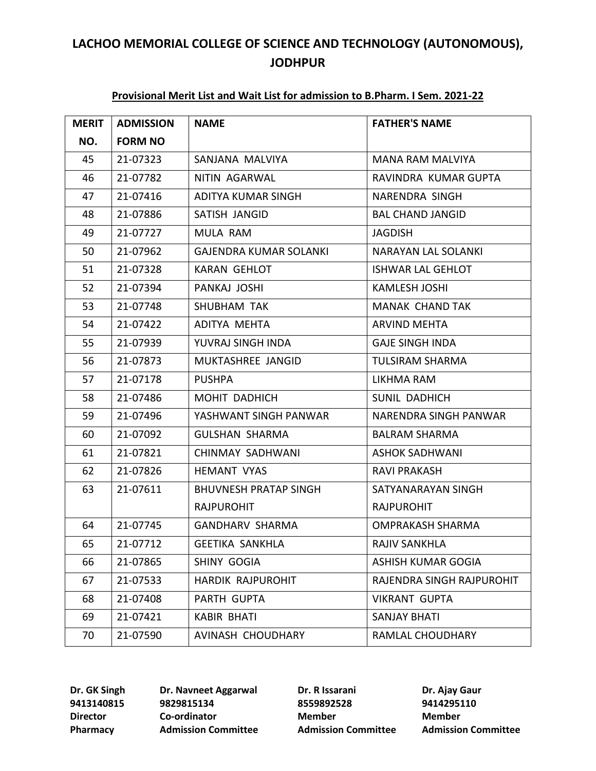| <b>MERIT</b> | <b>ADMISSION</b> | <b>NAME</b>                   | <b>FATHER'S NAME</b>       |
|--------------|------------------|-------------------------------|----------------------------|
| NO.          | <b>FORM NO</b>   |                               |                            |
| 45           | 21-07323         | SANJANA MALVIYA               | <b>MANA RAM MALVIYA</b>    |
| 46           | 21-07782         | NITIN AGARWAL                 | RAVINDRA KUMAR GUPTA       |
| 47           | 21-07416         | ADITYA KUMAR SINGH            | NARENDRA SINGH             |
| 48           | 21-07886         | SATISH JANGID                 | <b>BAL CHAND JANGID</b>    |
| 49           | 21-07727         | MULA RAM                      | <b>JAGDISH</b>             |
| 50           | 21-07962         | <b>GAJENDRA KUMAR SOLANKI</b> | <b>NARAYAN LAL SOLANKI</b> |
| 51           | 21-07328         | KARAN GEHLOT                  | <b>ISHWAR LAL GEHLOT</b>   |
| 52           | 21-07394         | PANKAJ JOSHI                  | KAMLESH JOSHI              |
| 53           | 21-07748         | SHUBHAM TAK                   | <b>MANAK CHAND TAK</b>     |
| 54           | 21-07422         | ADITYA MEHTA                  | ARVIND MEHTA               |
| 55           | 21-07939         | YUVRAJ SINGH INDA             | <b>GAJE SINGH INDA</b>     |
| 56           | 21-07873         | MUKTASHREE JANGID             | <b>TULSIRAM SHARMA</b>     |
| 57           | 21-07178         | <b>PUSHPA</b>                 | LIKHMA RAM                 |
| 58           | 21-07486         | MOHIT DADHICH                 | SUNIL DADHICH              |
| 59           | 21-07496         | YASHWANT SINGH PANWAR         | NARENDRA SINGH PANWAR      |
| 60           | 21-07092         | <b>GULSHAN SHARMA</b>         | <b>BALRAM SHARMA</b>       |
| 61           | 21-07821         | CHINMAY SADHWANI              | <b>ASHOK SADHWANI</b>      |
| 62           | 21-07826         | <b>HEMANT VYAS</b>            | RAVI PRAKASH               |
| 63           | 21-07611         | <b>BHUVNESH PRATAP SINGH</b>  | SATYANARAYAN SINGH         |
|              |                  | <b>RAJPUROHIT</b>             | <b>RAJPUROHIT</b>          |
| 64           | 21-07745         | <b>GANDHARV SHARMA</b>        | <b>OMPRAKASH SHARMA</b>    |
| 65           | 21-07712         | GEETIKA SANKHLA               | RAJIV SANKHLA              |
| 66           | 21-07865         | SHINY GOGIA                   | ASHISH KUMAR GOGIA         |
| 67           | 21-07533         | HARDIK RAJPUROHIT             | RAJENDRA SINGH RAJPUROHIT  |
| 68           | 21-07408         | PARTH GUPTA                   | <b>VIKRANT GUPTA</b>       |
| 69           | 21-07421         | <b>KABIR BHATI</b>            | <b>SANJAY BHATI</b>        |
| 70           | 21-07590         | AVINASH CHOUDHARY             | RAMLAL CHOUDHARY           |

### **Provisional Merit List and Wait List for admission to B.Pharm. I Sem. 2021-22**

 **9829815134 8559892528 9414295110 Director Co-ordinator Member Member**

**Dr. GK Singh Dr. Navneet Aggarwal Dr. R Issarani Dr. Ajay Gaur**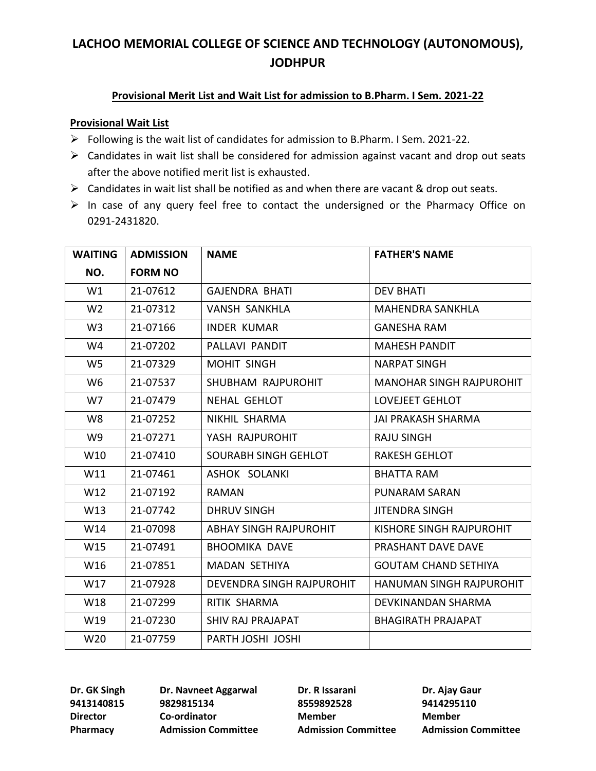### **Provisional Merit List and Wait List for admission to B.Pharm. I Sem. 2021-22**

#### **Provisional Wait List**

- ➢ Following is the wait list of candidates for admission to B.Pharm. I Sem. 2021-22.
- $\triangleright$  Candidates in wait list shall be considered for admission against vacant and drop out seats after the above notified merit list is exhausted.
- ➢ Candidates in wait list shall be notified as and when there are vacant & drop out seats.
- ➢ In case of any query feel free to contact the undersigned or the Pharmacy Office on 0291-2431820.

| <b>WAITING</b> | <b>ADMISSION</b> | <b>NAME</b>                   | <b>FATHER'S NAME</b>            |
|----------------|------------------|-------------------------------|---------------------------------|
| NO.            | <b>FORM NO</b>   |                               |                                 |
| W1             | 21-07612         | <b>GAIENDRA BHATI</b>         | <b>DEV BHATI</b>                |
| W <sub>2</sub> | 21-07312         | <b>VANSH SANKHLA</b>          | <b>MAHENDRA SANKHLA</b>         |
| W <sub>3</sub> | 21-07166         | <b>INDER KUMAR</b>            | <b>GANESHA RAM</b>              |
| W4             | 21-07202         | PALLAVI PANDIT                | <b>MAHESH PANDIT</b>            |
| W <sub>5</sub> | 21-07329         | <b>MOHIT SINGH</b>            | <b>NARPAT SINGH</b>             |
| W <sub>6</sub> | 21-07537         | SHUBHAM RAJPUROHIT            | <b>MANOHAR SINGH RAJPUROHIT</b> |
| W7             | 21-07479         | NEHAL GEHLOT                  | LOVEJEET GEHLOT                 |
| W8             | 21-07252         | NIKHIL SHARMA                 | JAI PRAKASH SHARMA              |
| W9             | 21-07271         | YASH RAJPUROHIT               | <b>RAJU SINGH</b>               |
| W10            | 21-07410         | SOURABH SINGH GEHLOT          | <b>RAKESH GEHLOT</b>            |
| W11            | 21-07461         | <b>ASHOK SOLANKI</b>          | <b>BHATTA RAM</b>               |
| W12            | 21-07192         | RAMAN                         | <b>PUNARAM SARAN</b>            |
| W13            | 21-07742         | <b>DHRUV SINGH</b>            | <b>JITENDRA SINGH</b>           |
| W14            | 21-07098         | <b>ABHAY SINGH RAJPUROHIT</b> | KISHORE SINGH RAJPUROHIT        |
| W15            | 21-07491         | <b>BHOOMIKA DAVE</b>          | PRASHANT DAVE DAVE              |
| W16            | 21-07851         | <b>MADAN SETHIYA</b>          | <b>GOUTAM CHAND SETHIYA</b>     |
| W17            | 21-07928         | DEVENDRA SINGH RAJPUROHIT     | HANUMAN SINGH RAJPUROHIT        |
| W18            | 21-07299         | RITIK SHARMA                  | DEVKINANDAN SHARMA              |
| W19            | 21-07230         | SHIV RAJ PRAJAPAT             | <b>BHAGIRATH PRAJAPAT</b>       |
| W20            | 21-07759         | PARTH JOSHI JOSHI             |                                 |

**9413140815 9829815134 8559892528 9414295110 Director Co-ordinator Member Member**

**Dr. GK Singh Dr. Navneet Aggarwal Dr. R Issarani Dr. Ajay Gaur**